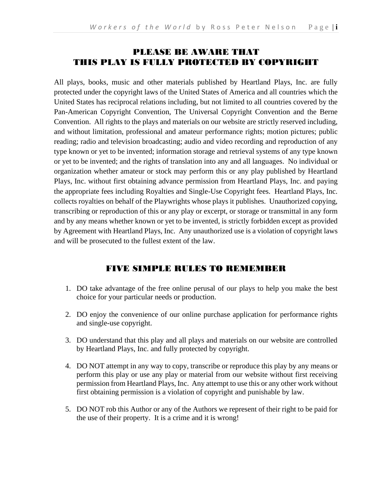#### PLEASE BE AWARE THAT THIS PLAY IS FULLY PROTECTED BY COPYRIGHT

All plays, books, music and other materials published by Heartland Plays, Inc. are fully protected under the copyright laws of the United States of America and all countries which the United States has reciprocal relations including, but not limited to all countries covered by the Pan-American Copyright Convention, The Universal Copyright Convention and the Berne Convention. All rights to the plays and materials on our website are strictly reserved including, and without limitation, professional and amateur performance rights; motion pictures; public reading; radio and television broadcasting; audio and video recording and reproduction of any type known or yet to be invented; information storage and retrieval systems of any type known or yet to be invented; and the rights of translation into any and all languages. No individual or organization whether amateur or stock may perform this or any play published by Heartland Plays, Inc. without first obtaining advance permission from Heartland Plays, Inc. and paying the appropriate fees including Royalties and Single-Use Copyright fees. Heartland Plays, Inc. collects royalties on behalf of the Playwrights whose plays it publishes. Unauthorized copying, transcribing or reproduction of this or any play or excerpt, or storage or transmittal in any form and by any means whether known or yet to be invented, is strictly forbidden except as provided by Agreement with Heartland Plays, Inc. Any unauthorized use is a violation of copyright laws and will be prosecuted to the fullest extent of the law.

#### FIVE SIMPLE RULES TO REMEMBER

- 1. DO take advantage of the free online perusal of our plays to help you make the best choice for your particular needs or production.
- 2. DO enjoy the convenience of our online purchase application for performance rights and single-use copyright.
- 3. DO understand that this play and all plays and materials on our website are controlled by Heartland Plays, Inc. and fully protected by copyright.
- 4. DO NOT attempt in any way to copy, transcribe or reproduce this play by any means or perform this play or use any play or material from our website without first receiving permission from Heartland Plays, Inc. Any attempt to use this or any other work without first obtaining permission is a violation of copyright and punishable by law.
- 5. DO NOT rob this Author or any of the Authors we represent of their right to be paid for the use of their property. It is a crime and it is wrong!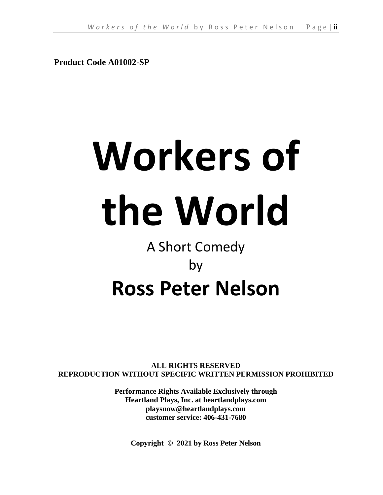**Product Code A01002-SP**

# **Workers of the World**

## A Short Comedy by **Ross Peter Nelson**

**ALL RIGHTS RESERVED REPRODUCTION WITHOUT SPECIFIC WRITTEN PERMISSION PROHIBITED**

> **Performance Rights Available Exclusively through Heartland Plays, Inc. at heartlandplays.com playsnow@heartlandplays.com customer service: 406-431-7680**

**Copyright © 2021 by Ross Peter Nelson**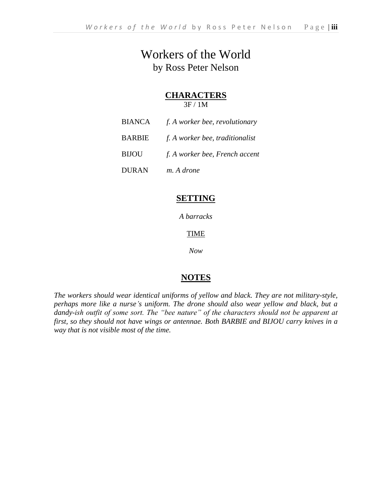## Workers of the World by Ross Peter Nelson

#### **CHARACTERS**

3F / 1M

- BIANCA *f. A worker bee, revolutionary*
- BARBIE *f. A worker bee, traditionalist*
- BIJOU *f. A worker bee, French accent*
- DURAN *m. A drone*

#### **SETTING**

*A barracks*

TIME

*Now*

#### **NOTES**

*The workers should wear identical uniforms of yellow and black. They are not military-style, perhaps more like a nurse's uniform. The drone should also wear yellow and black, but a dandy-ish outfit of some sort. The "bee nature" of the characters should not be apparent at first, so they should not have wings or antennae. Both BARBIE and BIJOU carry knives in a way that is not visible most of the time.*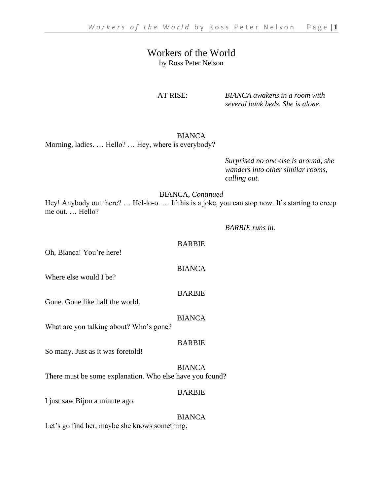#### Workers of the World by Ross Peter Nelson

AT RISE: *BIANCA awakens in a room with several bunk beds. She is alone.*

BIANCA

Morning, ladies. … Hello? … Hey, where is everybody?

*Surprised no one else is around, she wanders into other similar rooms, calling out.*

#### BIANCA, *Continued*

Hey! Anybody out there? … Hel-lo-o. … If this is a joke, you can stop now. It's starting to creep me out. … Hello?

BARBIE

BIANCA

BARBIE

#### *BARBIE runs in.*

Oh, Bianca! You're here!

Where else would I be?

Gone. Gone like half the world.

BIANCA

What are you talking about? Who's gone?

#### BARBIE

So many. Just as it was foretold!

#### BIANCA

There must be some explanation. Who else have you found?

#### BARBIE

I just saw Bijou a minute ago.

#### BIANCA

Let's go find her, maybe she knows something.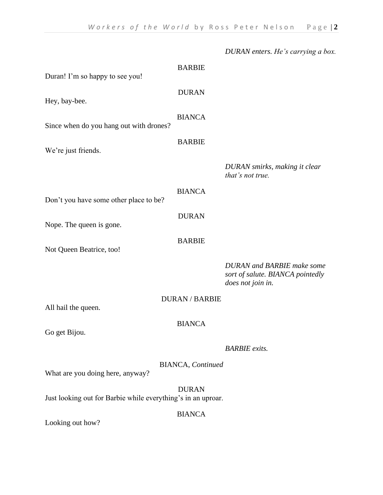|                                                              |                                  | DURAN enters. He's carrying a box.                                                                |
|--------------------------------------------------------------|----------------------------------|---------------------------------------------------------------------------------------------------|
|                                                              | <b>BARBIE</b>                    |                                                                                                   |
| Duran! I'm so happy to see you!                              |                                  |                                                                                                   |
|                                                              | <b>DURAN</b>                     |                                                                                                   |
| Hey, bay-bee.                                                |                                  |                                                                                                   |
| Since when do you hang out with drones?                      | <b>BIANCA</b>                    |                                                                                                   |
|                                                              |                                  |                                                                                                   |
| We're just friends.                                          | <b>BARBIE</b>                    |                                                                                                   |
|                                                              |                                  | DURAN smirks, making it clear<br>that's not true.                                                 |
|                                                              | <b>BIANCA</b>                    |                                                                                                   |
| Don't you have some other place to be?                       |                                  |                                                                                                   |
| Nope. The queen is gone.                                     | <b>DURAN</b>                     |                                                                                                   |
| Not Queen Beatrice, too!                                     | <b>BARBIE</b>                    |                                                                                                   |
|                                                              |                                  | <b>DURAN</b> and <b>BARBIE</b> make some<br>sort of salute. BIANCA pointedly<br>does not join in. |
|                                                              | <b>DURAN / BARBIE</b>            |                                                                                                   |
| All hail the queen.                                          |                                  |                                                                                                   |
| Go get Bijou.                                                | <b>BIANCA</b>                    |                                                                                                   |
|                                                              |                                  |                                                                                                   |
|                                                              |                                  | <b>BARBIE</b> exits.                                                                              |
| What are you doing here, anyway?                             | <b>BIANCA</b> , <i>Continued</i> |                                                                                                   |
| Just looking out for Barbie while everything's in an uproar. | <b>DURAN</b>                     |                                                                                                   |
|                                                              | <b>BIANCA</b>                    |                                                                                                   |
| Looking out how?                                             |                                  |                                                                                                   |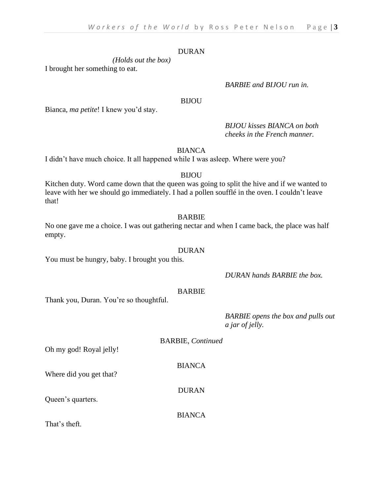#### DURAN

*(Holds out the box)* I brought her something to eat.

#### *BARBIE and BIJOU run in.*

#### BIJOU

Bianca, *ma petite*! I knew you'd stay.

*BIJOU kisses BIANCA on both cheeks in the French manner.*

**BIANCA** 

I didn't have much choice. It all happened while I was asleep. Where were you?

#### BIJOU

Kitchen duty. Word came down that the queen was going to split the hive and if we wanted to leave with her we should go immediately. I had a pollen soufflé in the oven. I couldn't leave that!

#### BARBIE

No one gave me a choice. I was out gathering nectar and when I came back, the place was half empty.

#### DURAN

You must be hungry, baby. I brought you this.

#### *DURAN hands BARBIE the box.*

#### BARBIE

BIANCA

Thank you, Duran. You're so thoughtful.

#### *BARBIE opens the box and pulls out a jar of jelly.*

BARBIE, *Continued* BIANCA DURAN

That's theft.

Queen's quarters.

Oh my god! Royal jelly!

Where did you get that?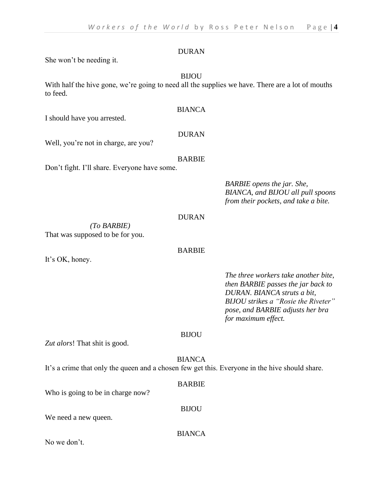#### DURAN

She won't be needing it.

#### BIJOU

With half the hive gone, we're going to need all the supplies we have. There are a lot of mouths to feed.

#### BIANCA

I should have you arrested.

#### DURAN

Well, you're not in charge, are you?

#### BARBIE

Don't fight. I'll share. Everyone have some.

*BARBIE opens the jar. She, BIANCA, and BIJOU all pull spoons from their pockets, and take a bite.*

#### DURAN

*(To BARBIE)* That was supposed to be for you.

#### BARBIE

It's OK, honey.

*The three workers take another bite, then BARBIE passes the jar back to DURAN. BIANCA struts a bit, BIJOU strikes a "Rosie the Riveter" pose, and BARBIE adjusts her bra for maximum effect.*

#### BIJOU

*Zut alors*! That shit is good.

BIANCA It's a crime that only the queen and a chosen few get this. Everyone in the hive should share.

#### BARBIE

BIJOU

Who is going to be in charge now?

We need a new queen.

BIANCA

No we don't.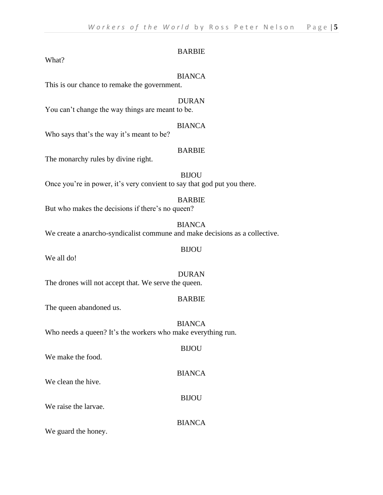#### BARBIE

What?

#### BIANCA

This is our chance to remake the government.

#### DURAN

You can't change the way things are meant to be.

#### BIANCA

Who says that's the way it's meant to be?

#### BARBIE

The monarchy rules by divine right.

#### BIJOU Once you're in power, it's very convient to say that god put you there.

#### BARBIE

But who makes the decisions if there's no queen?

#### BIANCA

We create a anarcho-syndicalist commune and make decisions as a collective.

We all do!

### DURAN

BIJOU

The drones will not accept that. We serve the queen.

#### BARBIE

The queen abandoned us.

#### BIANCA Who needs a queen? It's the workers who make everything run.

| We make the food.    | <b>BIJOU</b>  |
|----------------------|---------------|
| We clean the hive.   | <b>BIANCA</b> |
| We raise the larvae. | <b>BIJOU</b>  |
| ---                  | <b>BIANCA</b> |

We guard the honey.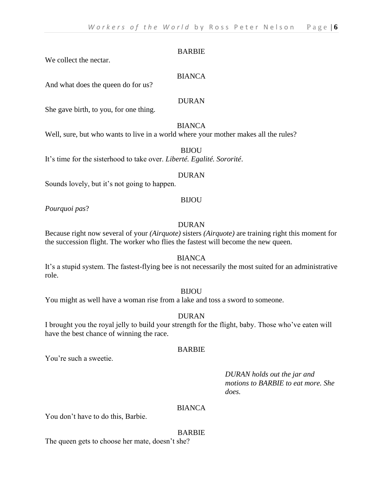#### BARBIE

We collect the nectar.

#### BIANCA

And what does the queen do for us?

#### DURAN

She gave birth, to you, for one thing.

#### **BIANCA**

Well, sure, but who wants to live in a world where your mother makes all the rules?

BIJOU

It's time for the sisterhood to take over. *Liberté. Egalité. Sororité*.

#### DURAN

Sounds lovely, but it's not going to happen.

#### BIJOU

*Pourquoi pas*?

#### DURAN

Because right now several of your *(Airquote)* sisters *(Airquote)* are training right this moment for the succession flight. The worker who flies the fastest will become the new queen.

#### BIANCA

It's a stupid system. The fastest-flying bee is not necessarily the most suited for an administrative role.

#### BIJOU

You might as well have a woman rise from a lake and toss a sword to someone.

#### DURAN

I brought you the royal jelly to build your strength for the flight, baby. Those who've eaten will have the best chance of winning the race.

#### BARBIE

You're such a sweetie.

#### *DURAN holds out the jar and motions to BARBIE to eat more. She does.*

#### **BIANCA**

You don't have to do this, Barbie.

#### BARBIE

The queen gets to choose her mate, doesn't she?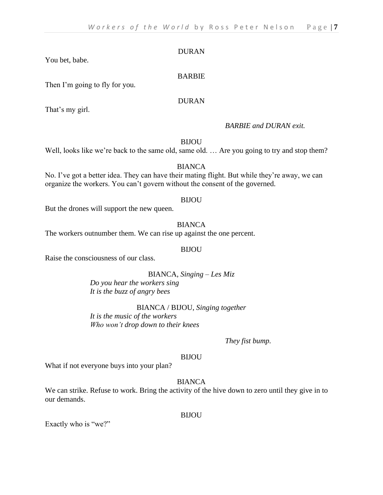You bet, babe.

#### BARBIE

Then I'm going to fly for you.

#### DURAN

That's my girl.

#### *BARBIE and DURAN exit.*

**BIJOU** 

Well, looks like we're back to the same old, same old. ... Are you going to try and stop them?

#### BIANCA

No. I've got a better idea. They can have their mating flight. But while they're away, we can organize the workers. You can't govern without the consent of the governed.

#### BIJOU

But the drones will support the new queen.

#### BIANCA

The workers outnumber them. We can rise up against the one percent.

#### BIJOU

Raise the consciousness of our class.

#### BIANCA, *Singing – Les Miz*

*Do you hear the workers sing It is the buzz of angry bees* 

BIANCA / BIJOU, *Singing together It is the music of the workers Who won't drop down to their knees*

*They fist bump.*

#### BIJOU

What if not everyone buys into your plan?

#### BIANCA

We can strike. Refuse to work. Bring the activity of the hive down to zero until they give in to our demands.

BIJOU

Exactly who is "we?"

DURAN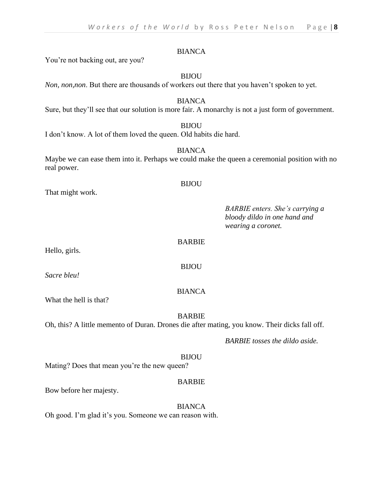You're not backing out, are you?

BIJOU

*Non, non,non*. But there are thousands of workers out there that you haven't spoken to yet.

BIANCA Sure, but they'll see that our solution is more fair. A monarchy is not a just form of government.

#### **BIJOU**

I don't know. A lot of them loved the queen. Old habits die hard.

#### **BIANCA**

Maybe we can ease them into it. Perhaps we could make the queen a ceremonial position with no real power.

#### BIJOU

That might work.

*BARBIE enters. She's carrying a bloody dildo in one hand and wearing a coronet.*

#### BARBIE

BIJOU

Hello, girls.

*Sacre bleu!*

#### BIANCA

What the hell is that?

#### BARBIE

Oh, this? A little memento of Duran. Drones die after mating, you know. Their dicks fall off.

*BARBIE tosses the dildo aside.*

#### BIJOU

Mating? Does that mean you're the new queen?

#### BARBIE

Bow before her majesty.

#### BIANCA

Oh good. I'm glad it's you. Someone we can reason with.

#### BIANCA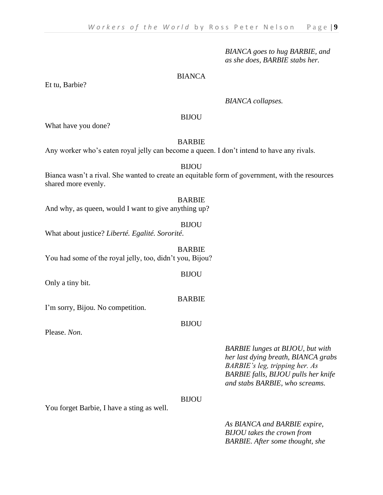*BIANCA goes to hug BARBIE, and as she does, BARBIE stabs her.*

#### BIANCA

*BIANCA collapses.*

#### BIJOU

What have you done?

#### BARBIE

Any worker who's eaten royal jelly can become a queen. I don't intend to have any rivals.

#### BIJOU

Bianca wasn't a rival. She wanted to create an equitable form of government, with the resources shared more evenly.

#### BARBIE

And why, as queen, would I want to give anything up?

#### BIJOU

What about justice? *Liberté. Egalité. Sororité*.

BARBIE You had some of the royal jelly, too, didn't you, Bijou?

Only a tiny bit.

#### BARBIE

BIJOU

I'm sorry, Bijou. No competition.

#### BIJOU

Please. *Non*.

#### *BARBIE lunges at BIJOU, but with her last dying breath, BIANCA grabs BARBIE's leg, tripping her. As BARBIE falls, BIJOU pulls her knife and stabs BARBIE, who screams.*

#### BIJOU

You forget Barbie, I have a sting as well.

*As BIANCA and BARBIE expire, BIJOU takes the crown from BARBIE. After some thought, she* 

Et tu, Barbie?